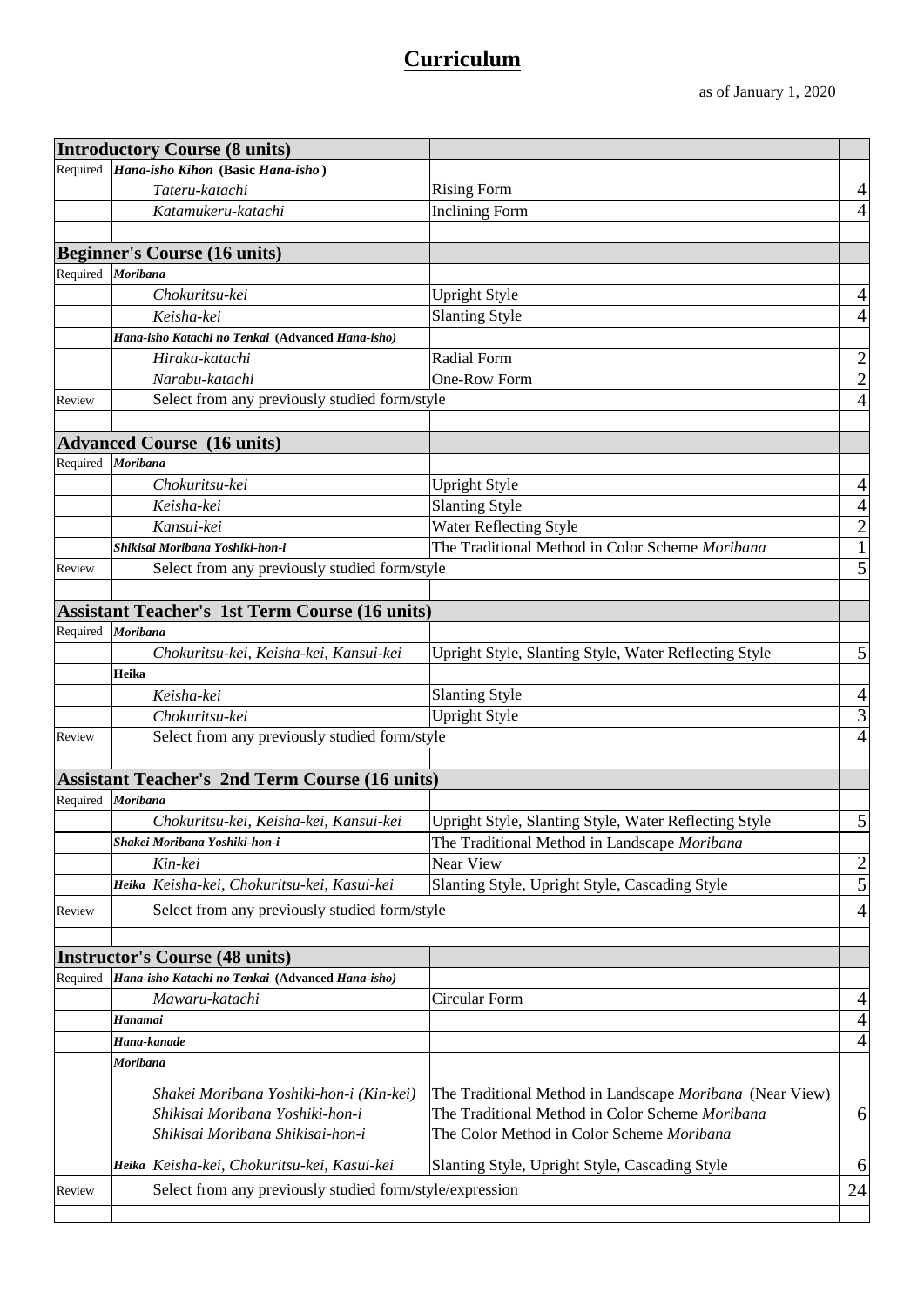## **Curriculum**

|                   | <b>Introductory Course (8 units)</b>                                       |                                                          |                          |
|-------------------|----------------------------------------------------------------------------|----------------------------------------------------------|--------------------------|
|                   | Required Hana-isho Kihon (Basic Hana-isho)                                 |                                                          |                          |
|                   | Tateru-katachi                                                             | <b>Rising Form</b>                                       | 4                        |
|                   | Katamukeru-katachi                                                         | <b>Inclining Form</b>                                    | 4                        |
|                   |                                                                            |                                                          |                          |
|                   | <b>Beginner's Course (16 units)</b>                                        |                                                          |                          |
|                   | Required Moribana                                                          |                                                          |                          |
|                   | Chokuritsu-kei                                                             | <b>Upright Style</b>                                     | 4                        |
|                   | Keisha-kei                                                                 | <b>Slanting Style</b>                                    | 4                        |
|                   | Hana-isho Katachi no Tenkai (Advanced Hana-isho)                           |                                                          |                          |
|                   | Hiraku-katachi                                                             | Radial Form                                              |                          |
|                   | Narabu-katachi                                                             | One-Row Form                                             | $\frac{2}{2}$            |
| Review            | Select from any previously studied form/style                              |                                                          |                          |
|                   |                                                                            |                                                          |                          |
|                   | <b>Advanced Course (16 units)</b>                                          |                                                          |                          |
| Required Moribana |                                                                            |                                                          |                          |
|                   | Chokuritsu-kei                                                             | <b>Upright Style</b>                                     | $\overline{4}$           |
|                   | Keisha-kei                                                                 | <b>Slanting Style</b>                                    |                          |
|                   | Kansui-kei                                                                 | Water Reflecting Style                                   | $\frac{4}{2}$            |
|                   | Shikisai Moribana Yoshiki-hon-i                                            | The Traditional Method in Color Scheme Moribana          |                          |
| Review            | Select from any previously studied form/style                              |                                                          | $\overline{5}$           |
|                   |                                                                            |                                                          |                          |
|                   |                                                                            |                                                          |                          |
|                   | <b>Assistant Teacher's 1st Term Course (16 units)</b><br>Required Moribana |                                                          |                          |
|                   |                                                                            |                                                          |                          |
|                   | Chokuritsu-kei, Keisha-kei, Kansui-kei                                     | Upright Style, Slanting Style, Water Reflecting Style    | 5                        |
|                   | Heika                                                                      |                                                          |                          |
|                   | Keisha-kei                                                                 | <b>Slanting Style</b>                                    | $\overline{4}$           |
|                   | Chokuritsu-kei                                                             | <b>Upright Style</b>                                     | $\overline{3}$           |
| Review            | Select from any previously studied form/style                              |                                                          | 4                        |
|                   |                                                                            |                                                          |                          |
|                   | <b>Assistant Teacher's 2nd Term Course (16 units)</b>                      |                                                          |                          |
| Required          | Moribana                                                                   |                                                          |                          |
|                   | Chokuritsu-kei, Keisha-kei, Kansui-kei                                     | Upright Style, Slanting Style, Water Reflecting Style    | 5                        |
|                   | Shakei Moribana Yoshiki-hon-i                                              | The Traditional Method in Landscape Moribana             |                          |
|                   | Kin-kei                                                                    | Near View                                                | $\frac{2}{5}$            |
|                   | Heika Keisha-kei, Chokuritsu-kei, Kasui-kei                                | Slanting Style, Upright Style, Cascading Style           |                          |
| Review            | Select from any previously studied form/style                              |                                                          | $\overline{4}$           |
|                   |                                                                            |                                                          |                          |
|                   | <b>Instructor's Course (48 units)</b>                                      |                                                          |                          |
| Required          | Hana-isho Katachi no Tenkai (Advanced Hana-isho)                           |                                                          |                          |
|                   | Mawaru-katachi                                                             | Circular Form                                            | $\overline{4}$           |
|                   | Hanamai                                                                    |                                                          | $\overline{4}$           |
|                   | Hana-kanade                                                                |                                                          | $\overline{\mathcal{L}}$ |
|                   | Moribana                                                                   |                                                          |                          |
|                   |                                                                            |                                                          |                          |
|                   | Shakei Moribana Yoshiki-hon-i (Kin-kei)                                    | The Traditional Method in Landscape Moribana (Near View) |                          |
|                   | Shikisai Moribana Yoshiki-hon-i                                            | The Traditional Method in Color Scheme Moribana          | 6                        |
|                   | Shikisai Moribana Shikisai-hon-i                                           | The Color Method in Color Scheme Moribana                |                          |
|                   | Heika Keisha-kei, Chokuritsu-kei, Kasui-kei                                | Slanting Style, Upright Style, Cascading Style           | 6                        |
|                   |                                                                            |                                                          |                          |
| Review            | Select from any previously studied form/style/expression                   |                                                          | 24                       |
|                   |                                                                            |                                                          |                          |